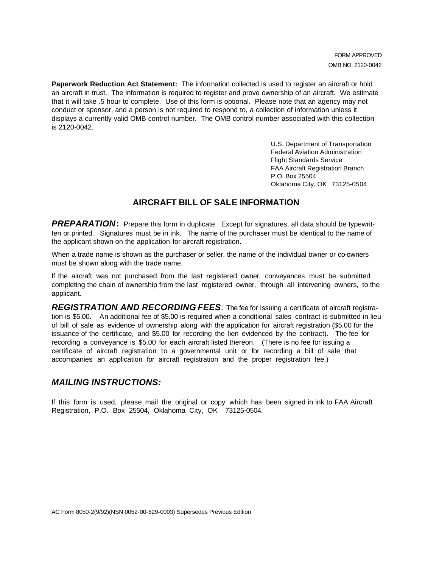**Paperwork Reduction Act Statement:** The information collected is used to register an aircraft or hold an aircraft in trust. The information is required to register and prove ownership of an aircraft. We estimate that it will take .5 hour to complete. Use of this form is optional. Please note that an agency may not conduct or sponsor, and a person is not required to respond to, a collection of information unless it displays a currently valid OMB control number. The OMB control number associated with this collection is 2120-0042.

> U.S. Department of Transportation Federal Aviation Administration Flight Standards Service FAA Aircraft Registration Branch P.O. Box 25504 Oklahoma City, OK 73125-0504

## **AIRCRAFT BILL OF SALE INFORMATION**

*PREPARATION***:** Prepare this form in duplicate. Except for signatures, all data should be typewritten or printed. Signatures must be in ink. The name of the purchaser must be identical to the name of the applicant shown on the application for aircraft registration.

When a trade name is shown as the purchaser or seller, the name of the individual owner or co-owners must be shown along with the trade name.

If the aircraft was not purchased from the last registered owner, conveyances must be submitted completing the chain of ownership from the last registered owner, through all intervening owners, to the applicant.

*REGISTRATION AND RECORDING FEES*: The fee for issuing a certificate of aircraft registration is \$5.00. An additional fee of \$5.00 is required when a conditional sales contract is submitted in lieu of bill of sale as evidence of ownership along with the application for aircraft registration (\$5.00 for the issuance of the certificate, and \$5.00 for recording the lien evidenced by the contract). The fee for recording <sup>a</sup> conveyance is \$5.00 for each aircraft listed thereon. (There is no fee for issuing a certificate of aircraft registration to a governmental unit or for recording a bill of sale that accompanies an application for aircraft registration and the proper registration fee.)

## *MAILING INSTRUCTIONS:*

If this form is used, please mail the original or copy which has been signed in ink to FAA Aircraft Registration, P.O. Box 25504, Oklahoma City, OK 73125-0504.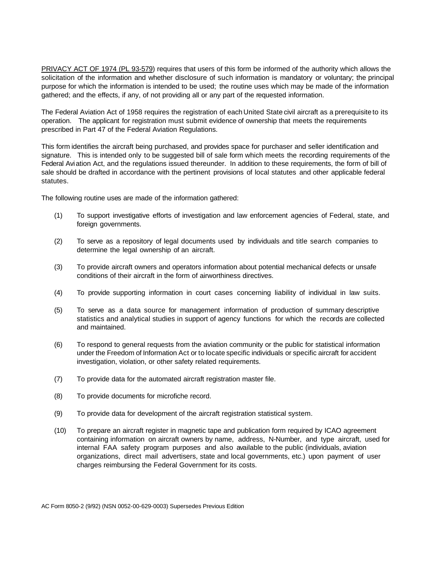PRIVACY ACT OF 1974 (PL 93-579) requires that users of this form be informed of the authority which allows the solicitation of the information and whether disclosure of such information is mandatory or voluntary; the principal purpose for which the information is intended to be used; the routine uses which may be made of the information gathered; and the effects, if any, of not providing all or any part of the requested information.

The Federal Aviation Act of 1958 requires the registration of each United State civil aircraft as a prerequisite to its operation. The applicant for registration must submit evidence of ownership that meets the requirements prescribed in Part 47 of the Federal Aviation Regulations.

This form identifies the aircraft being purchased, and provides space for purchaser and seller identification and signature. This is intended only to be suggested bill of sale form which meets the recording requirements of the Federal Aviation Act, and the regulations issued thereunder. In addition to these requirements, the form of bill of sale should be drafted in accordance with the pertinent provisions of local statutes and other applicable federal statutes.

The following routine uses are made of the information gathered:

- (1) To support investigative efforts of investigation and law enforcement agencies of Federal, state, and foreign governments.
- (2) To serve as a repository of legal documents used by individuals and title search companies to determine the legal ownership of an aircraft.
- (3) To provide aircraft owners and operators information about potential mechanical defects or unsafe conditions of their aircraft in the form of airworthiness directives.
- (4) To provide supporting information in court cases concerning liability of individual in law suits.
- (5) To serve as a data source for management information of production of summary descriptive statistics and analytical studies in support of agency functions for which the records are collected and maintained.
- (6) To respond to general requests from the aviation community or the public for statistical information under the Freedom of Information Act or to locate specific individuals or specific aircraft for accident investigation, violation, or other safety related requirements.
- (7) To provide data for the automated aircraft registration master file.
- (8) To provide documents for microfiche record.
- (9) To provide data for development of the aircraft registration statistical system.
- (10) To prepare an aircraft register in magnetic tape and publication form required by ICAO agreement containing information on aircraft owners by name, address, N-Number, and type aircraft, used for internal FAA safety program purposes and also available to the public (individuals, aviation organizations, direct mail advertisers, state and local governments, etc.) upon payment of user charges reimbursing the Federal Government for its costs.